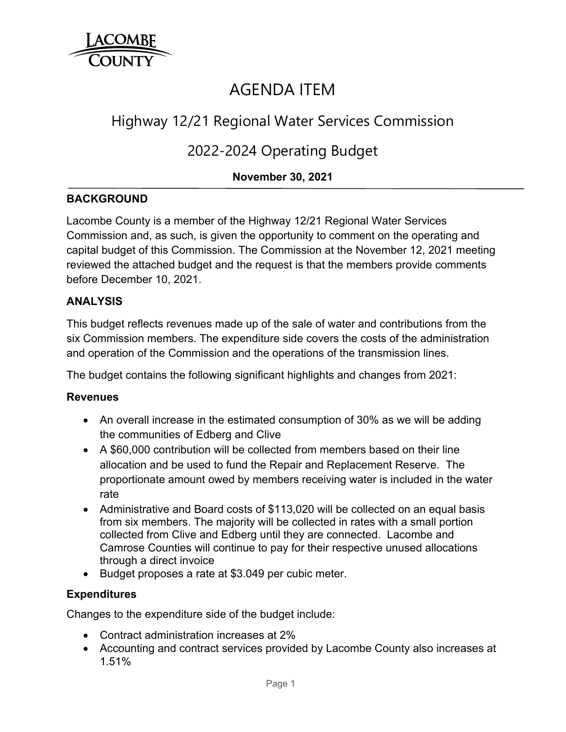

# AGENDA ITEM

## Highway 12/21 Regional Water Services Commission

## 2022-2024 Operating Budget

## **November 30, 2021**

## **BACKGROUND**

Lacombe County is a member of the Highway 12/21 Regional Water Services Commission and, as such, is given the opportunity to comment on the operating and capital budget of this Commission. The Commission at the November 12, 2021 meeting reviewed the attached budget and the request is that the members provide comments before December 10, 2021.

## **ANALYSIS**

This budget reflects revenues made up of the sale of water and contributions from the six Commission members. The expenditure side covers the costs of the administration and operation of the Commission and the operations of the transmission lines.

The budget contains the following significant highlights and changes from 2021:

#### **Revenues**

- An overall increase in the estimated consumption of 30% as we will be adding the communities of Edberg and Clive
- A \$60,000 contribution will be collected from members based on their line allocation and be used to fund the Repair and Replacement Reserve. The proportionate amount owed by members receiving water is included in the water rate
- Administrative and Board costs of \$113,020 will be collected on an equal basis from six members. The majority will be collected in rates with a small portion collected from Clive and Edberg until they are connected. Lacombe and Camrose Counties will continue to pay for their respective unused allocations through a direct invoice
- Budget proposes a rate at \$3.049 per cubic meter.

#### **Expenditures**

Changes to the expenditure side of the budget include:

- Contract administration increases at 2%
- Accounting and contract services provided by Lacombe County also increases at 1.51%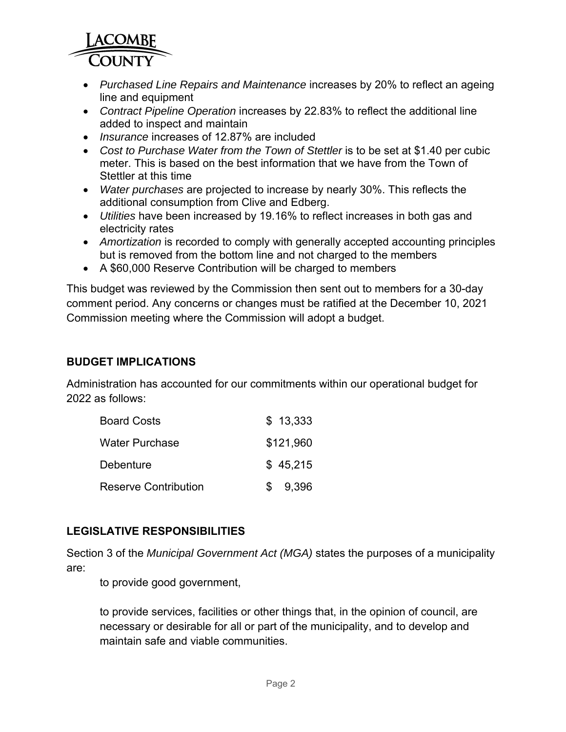

- *Purchased Line Repairs and Maintenance* increases by 20% to reflect an ageing line and equipment
- *Contract Pipeline Operation* increases by 22.83% to reflect the additional line added to inspect and maintain
- *Insurance* increases of 12.87% are included
- *Cost to Purchase Water from the Town of Stettler* is to be set at \$1.40 per cubic meter. This is based on the best information that we have from the Town of Stettler at this time
- *Water purchases* are projected to increase by nearly 30%. This reflects the additional consumption from Clive and Edberg.
- *Utilities* have been increased by 19.16% to reflect increases in both gas and electricity rates
- *Amortization* is recorded to comply with generally accepted accounting principles but is removed from the bottom line and not charged to the members
- A \$60,000 Reserve Contribution will be charged to members

This budget was reviewed by the Commission then sent out to members for a 30-day comment period. Any concerns or changes must be ratified at the December 10, 2021 Commission meeting where the Commission will adopt a budget.

### **BUDGET IMPLICATIONS**

Administration has accounted for our commitments within our operational budget for 2022 as follows:

| <b>Board Costs</b>          | \$13,333     |
|-----------------------------|--------------|
| <b>Water Purchase</b>       | \$121,960    |
| Debenture                   | \$45,215     |
| <b>Reserve Contribution</b> | 9,396<br>\$. |

## **LEGISLATIVE RESPONSIBILITIES**

Section 3 of the *Municipal Government Act (MGA)* states the purposes of a municipality are:

to provide good government,

to provide services, facilities or other things that, in the opinion of council, are necessary or desirable for all or part of the municipality, and to develop and maintain safe and viable communities.